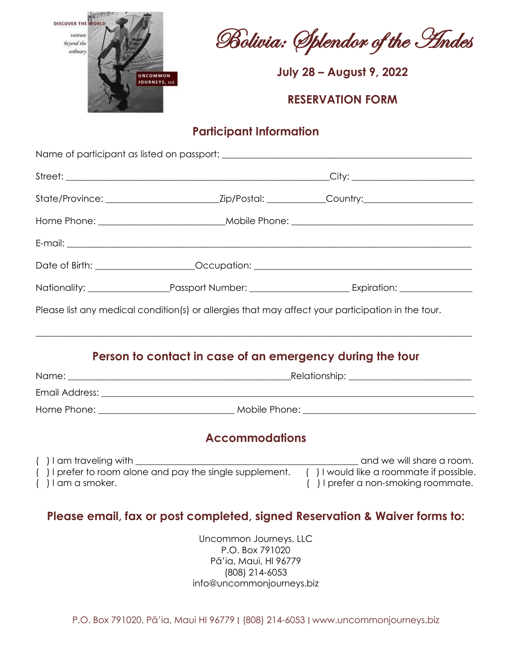

Bolivia: Splendor of the Andes

**July 28 – August 9, 2022**

#### **RESERVATION FORM**

## **Participant Information**

|                                                          |                                                                                                   | Date of Birth: ______________________Occupation: ________________________________                                                                                    |  |
|----------------------------------------------------------|---------------------------------------------------------------------------------------------------|----------------------------------------------------------------------------------------------------------------------------------------------------------------------|--|
|                                                          |                                                                                                   |                                                                                                                                                                      |  |
|                                                          | Please list any medical condition(s) or allergies that may affect your participation in the tour. |                                                                                                                                                                      |  |
|                                                          | Person to contact in case of an emergency during the tour                                         |                                                                                                                                                                      |  |
|                                                          |                                                                                                   |                                                                                                                                                                      |  |
|                                                          |                                                                                                   |                                                                                                                                                                      |  |
|                                                          | <b>Accommodations</b>                                                                             |                                                                                                                                                                      |  |
| $($ ) I am traveling with $\_\_$<br>$( )$ I am a smoker. |                                                                                                   | and we will share a room.<br>() I prefer to room alone and pay the single supplement. () I would like a roommate if possible.<br>() I prefer a non-smoking roommate. |  |
|                                                          |                                                                                                   | Please email, fax or post completed, signed Reservation & Waiver forms to:                                                                                           |  |
|                                                          | Uncommon Journeys, LLC<br>P.O. Box 791020                                                         |                                                                                                                                                                      |  |

Pā'ia, Maui, HI 96779 (808) 214-6053 info@uncommonjourneys.biz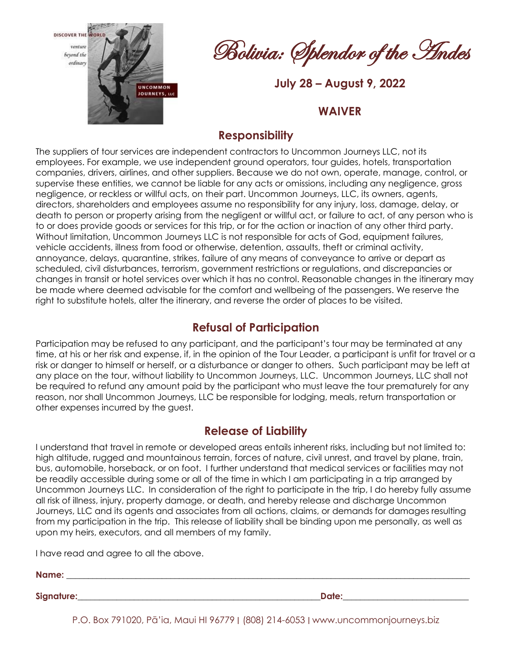venture beyond the ordinary



Bolivia: Splendor of the Andes

**July 28 – August 9, 2022**

#### **WAIVER**

### **Responsibility**

The suppliers of tour services are independent contractors to Uncommon Journeys LLC, not its employees. For example, we use independent ground operators, tour guides, hotels, transportation companies, drivers, airlines, and other suppliers. Because we do not own, operate, manage, control, or supervise these entities, we cannot be liable for any acts or omissions, including any negligence, gross negligence, or reckless or willful acts, on their part. Uncommon Journeys, LLC, its owners, agents, directors, shareholders and employees assume no responsibility for any injury, loss, damage, delay, or death to person or property arising from the negligent or willful act, or failure to act, of any person who is to or does provide goods or services for this trip, or for the action or inaction of any other third party. Without limitation, Uncommon Journeys LLC is not responsible for acts of God, equipment failures, vehicle accidents, illness from food or otherwise, detention, assaults, theft or criminal activity, annoyance, delays, quarantine, strikes, failure of any means of conveyance to arrive or depart as scheduled, civil disturbances, terrorism, government restrictions or regulations, and discrepancies or changes in transit or hotel services over which it has no control. Reasonable changes in the itinerary may be made where deemed advisable for the comfort and wellbeing of the passengers. We reserve the right to substitute hotels, alter the itinerary, and reverse the order of places to be visited.

## **Refusal of Participation**

Participation may be refused to any participant, and the participant's tour may be terminated at any time, at his or her risk and expense, if, in the opinion of the Tour Leader, a participant is unfit for travel or a risk or danger to himself or herself, or a disturbance or danger to others. Such participant may be left at any place on the tour, without liability to Uncommon Journeys, LLC. Uncommon Journeys, LLC shall not be required to refund any amount paid by the participant who must leave the tour prematurely for any reason, nor shall Uncommon Journeys, LLC be responsible for lodging, meals, return transportation or other expenses incurred by the guest.

### **Release of Liability**

I understand that travel in remote or developed areas entails inherent risks, including but not limited to: high altitude, rugged and mountainous terrain, forces of nature, civil unrest, and travel by plane, train, bus, automobile, horseback, or on foot. I further understand that medical services or facilities may not be readily accessible during some or all of the time in which I am participating in a trip arranged by Uncommon Journeys LLC. In consideration of the right to participate in the trip, I do hereby fully assume all risk of illness, injury, property damage, or death, and hereby release and discharge Uncommon Journeys, LLC and its agents and associates from all actions, claims, or demands for damages resulting from my participation in the trip. This release of liability shall be binding upon me personally, as well as upon my heirs, executors, and all members of my family.

I have read and agree to all the above.

**Name: \_\_\_\_\_\_\_\_\_\_\_\_\_\_\_\_\_\_\_\_\_\_\_\_\_\_\_\_\_\_\_\_\_\_\_\_\_\_\_\_\_\_\_\_\_\_\_\_\_\_\_\_\_\_\_\_\_\_\_\_\_\_\_\_\_\_\_\_\_\_\_\_\_\_\_\_\_\_\_\_\_\_\_\_\_\_\_\_\_\_\_\_\_**

**Signature:** The contract of the contract of the contract of the contract of the contract of the contract of the contract of the contract of the contract of the contract of the contract of the contract of the contract of t

P.O. Box 791020, Pā'ia, Maui HI 96779 ∣ (808) 214-6053 ∣ www.uncommonjourneys.biz